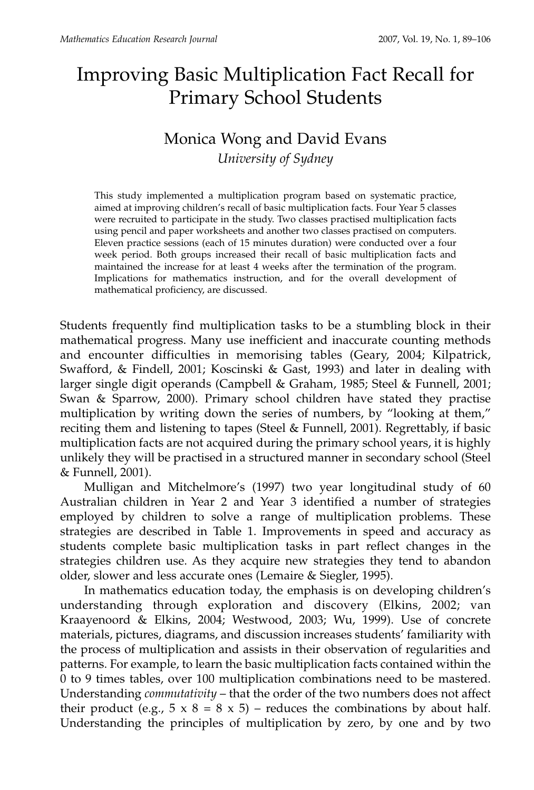# Improving Basic Multiplication Fact Recall for Primary School Students

# Monica Wong and David Evans *University of Sydney*

This study implemented a multiplication program based on systematic practice, aimed at improving children's recall of basic multiplication facts. Four Year 5 classes were recruited to participate in the study. Two classes practised multiplication facts using pencil and paper worksheets and another two classes practised on computers. Eleven practice sessions (each of 15 minutes duration) were conducted over a four week period. Both groups increased their recall of basic multiplication facts and maintained the increase for at least 4 weeks after the termination of the program. Implications for mathematics instruction, and for the overall development of mathematical proficiency, are discussed.

Students frequently find multiplication tasks to be a stumbling block in their mathematical progress. Many use inefficient and inaccurate counting methods and encounter difficulties in memorising tables (Geary, 2004; Kilpatrick, Swafford, & Findell, 2001; Koscinski & Gast, 1993) and later in dealing with larger single digit operands (Campbell & Graham, 1985; Steel & Funnell, 2001; Swan & Sparrow, 2000). Primary school children have stated they practise multiplication by writing down the series of numbers, by "looking at them," reciting them and listening to tapes (Steel & Funnell, 2001). Regrettably, if basic multiplication facts are not acquired during the primary school years, it is highly unlikely they will be practised in a structured manner in secondary school (Steel & Funnell, 2001).

Mulligan and Mitchelmore's (1997) two year longitudinal study of 60 Australian children in Year 2 and Year 3 identified a number of strategies employed by children to solve a range of multiplication problems. These strategies are described in Table 1. Improvements in speed and accuracy as students complete basic multiplication tasks in part reflect changes in the strategies children use. As they acquire new strategies they tend to abandon older, slower and less accurate ones (Lemaire & Siegler, 1995).

In mathematics education today, the emphasis is on developing children's understanding through exploration and discovery (Elkins, 2002; van Kraayenoord & Elkins, 2004; Westwood, 2003; Wu, 1999). Use of concrete materials, pictures, diagrams, and discussion increases students' familiarity with the process of multiplication and assists in their observation of regularities and patterns. For example, to learn the basic multiplication facts contained within the 0 to 9 times tables, over 100 multiplication combinations need to be mastered. Understanding *commutativity* – that the order of the two numbers does not affect their product (e.g.,  $5 \times 8 = 8 \times 5$ ) – reduces the combinations by about half. Understanding the principles of multiplication by zero, by one and by two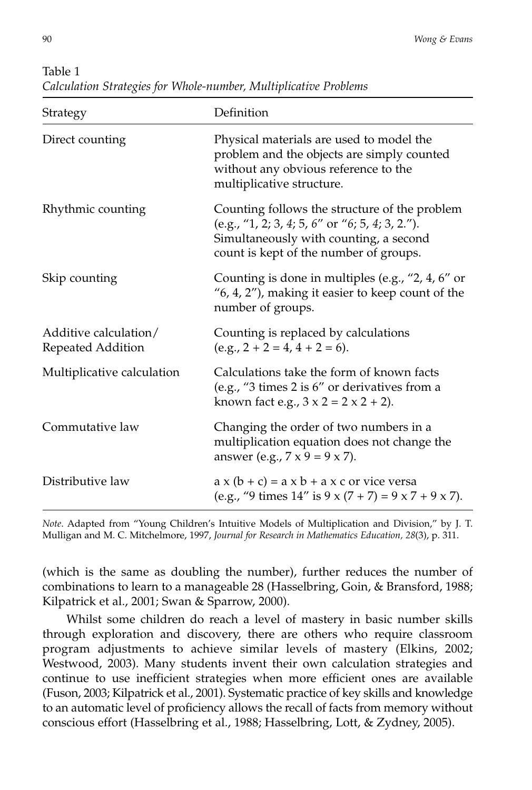| Strategy                                   | Definition                                                                                                                                                                           |  |  |
|--------------------------------------------|--------------------------------------------------------------------------------------------------------------------------------------------------------------------------------------|--|--|
| Direct counting                            | Physical materials are used to model the<br>problem and the objects are simply counted<br>without any obvious reference to the<br>multiplicative structure.                          |  |  |
| Rhythmic counting                          | Counting follows the structure of the problem<br>(e.g., "1, 2; 3, 4; 5, 6" or "6; 5, 4; 3, 2.").<br>Simultaneously with counting, a second<br>count is kept of the number of groups. |  |  |
| Skip counting                              | Counting is done in multiples (e.g., "2, 4, 6" or<br>$(6, 4, 2'')$ , making it easier to keep count of the<br>number of groups.                                                      |  |  |
| Additive calculation/<br>Repeated Addition | Counting is replaced by calculations<br>$(e.g., 2 + 2 = 4, 4 + 2 = 6).$                                                                                                              |  |  |
| Multiplicative calculation                 | Calculations take the form of known facts<br>(e.g., $\textdegree{}3$ times 2 is $6\textdegree{}$ or derivatives from a<br>known fact e.g., $3 \times 2 = 2 \times 2 + 2$ ).          |  |  |
| Commutative law                            | Changing the order of two numbers in a<br>multiplication equation does not change the<br>answer (e.g., $7 \times 9 = 9 \times 7$ ).                                                  |  |  |
| Distributive law                           | $a \times (b + c) = a \times b + a \times c$ or vice versa<br>(e.g., "9 times $14$ " is $9 \times (7 + 7) = 9 \times 7 + 9 \times 7$ ).                                              |  |  |

Table 1 *Calculation Strategies for Whole-number, Multiplicative Problems*

*Note*. Adapted from "Young Children's Intuitive Models of Multiplication and Division," by J. T. Mulligan and M. C. Mitchelmore, 1997, *Journal for Research in Mathematics Education, 28*(3), p. 311.

(which is the same as doubling the number), further reduces the number of combinations to learn to a manageable 28 (Hasselbring, Goin, & Bransford, 1988; Kilpatrick et al., 2001; Swan & Sparrow, 2000).

Whilst some children do reach a level of mastery in basic number skills through exploration and discovery, there are others who require classroom program adjustments to achieve similar levels of mastery (Elkins, 2002; Westwood, 2003). Many students invent their own calculation strategies and continue to use inefficient strategies when more efficient ones are available (Fuson, 2003; Kilpatrick et al., 2001). Systematic practice of key skills and knowledge to an automatic level of proficiency allows the recall of facts from memory without conscious effort (Hasselbring et al., 1988; Hasselbring, Lott, & Zydney, 2005).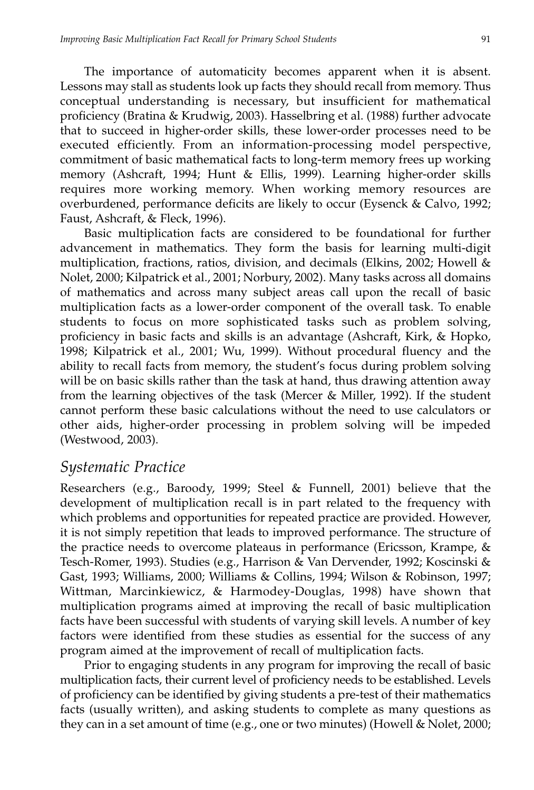The importance of automaticity becomes apparent when it is absent. Lessons may stall as students look up facts they should recall from memory. Thus conceptual understanding is necessary, but insufficient for mathematical proficiency (Bratina & Krudwig, 2003). Hasselbring et al. (1988) further advocate that to succeed in higher-order skills, these lower-order processes need to be executed efficiently. From an information-processing model perspective, commitment of basic mathematical facts to long-term memory frees up working memory (Ashcraft, 1994; Hunt & Ellis, 1999). Learning higher-order skills requires more working memory. When working memory resources are overburdened, performance deficits are likely to occur (Eysenck & Calvo, 1992; Faust, Ashcraft, & Fleck, 1996).

Basic multiplication facts are considered to be foundational for further advancement in mathematics. They form the basis for learning multi-digit multiplication, fractions, ratios, division, and decimals (Elkins, 2002; Howell & Nolet, 2000; Kilpatrick et al., 2001; Norbury, 2002). Many tasks across all domains of mathematics and across many subject areas call upon the recall of basic multiplication facts as a lower-order component of the overall task. To enable students to focus on more sophisticated tasks such as problem solving, proficiency in basic facts and skills is an advantage (Ashcraft, Kirk, & Hopko, 1998; Kilpatrick et al., 2001; Wu, 1999). Without procedural fluency and the ability to recall facts from memory, the student's focus during problem solving will be on basic skills rather than the task at hand, thus drawing attention away from the learning objectives of the task (Mercer & Miller, 1992). If the student cannot perform these basic calculations without the need to use calculators or other aids, higher-order processing in problem solving will be impeded (Westwood, 2003).

#### *Systematic Practice*

Researchers (e.g., Baroody, 1999; Steel & Funnell, 2001) believe that the development of multiplication recall is in part related to the frequency with which problems and opportunities for repeated practice are provided. However, it is not simply repetition that leads to improved performance. The structure of the practice needs to overcome plateaus in performance (Ericsson, Krampe, & Tesch-Romer, 1993). Studies (e.g., Harrison & Van Dervender, 1992; Koscinski & Gast, 1993; Williams, 2000; Williams & Collins, 1994; Wilson & Robinson, 1997; Wittman, Marcinkiewicz, & Harmodey-Douglas, 1998) have shown that multiplication programs aimed at improving the recall of basic multiplication facts have been successful with students of varying skill levels. A number of key factors were identified from these studies as essential for the success of any program aimed at the improvement of recall of multiplication facts.

Prior to engaging students in any program for improving the recall of basic multiplication facts, their current level of proficiency needs to be established. Levels of proficiency can be identified by giving students a pre-test of their mathematics facts (usually written), and asking students to complete as many questions as they can in a set amount of time (e.g., one or two minutes) (Howell & Nolet, 2000;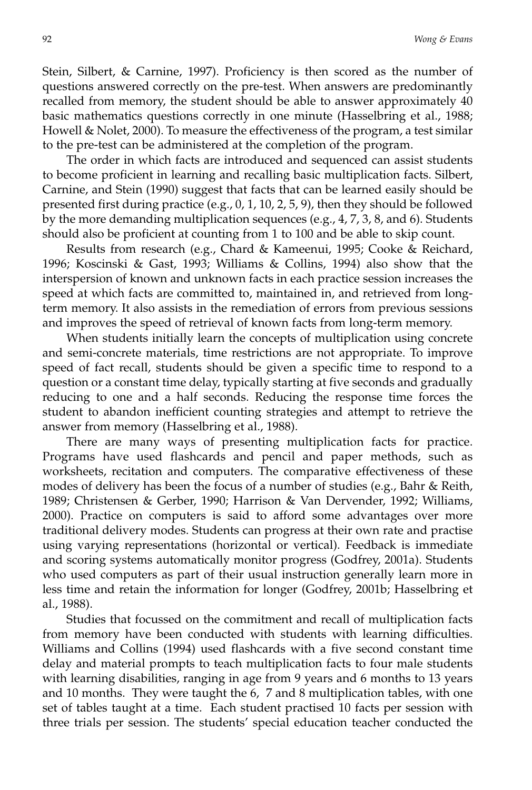Stein, Silbert, & Carnine, 1997). Proficiency is then scored as the number of questions answered correctly on the pre-test. When answers are predominantly recalled from memory, the student should be able to answer approximately 40 basic mathematics questions correctly in one minute (Hasselbring et al., 1988; Howell & Nolet, 2000). To measure the effectiveness of the program, a test similar to the pre-test can be administered at the completion of the program.

The order in which facts are introduced and sequenced can assist students to become proficient in learning and recalling basic multiplication facts. Silbert, Carnine, and Stein (1990) suggest that facts that can be learned easily should be presented first during practice (e.g., 0, 1, 10, 2, 5, 9), then they should be followed by the more demanding multiplication sequences (e.g.,  $4$ ,  $7$ ,  $3$ ,  $8$ , and  $6$ ). Students should also be proficient at counting from 1 to 100 and be able to skip count.

Results from research (e.g., Chard & Kameenui, 1995; Cooke & Reichard, 1996; Koscinski & Gast, 1993; Williams & Collins, 1994) also show that the interspersion of known and unknown facts in each practice session increases the speed at which facts are committed to, maintained in, and retrieved from longterm memory. It also assists in the remediation of errors from previous sessions and improves the speed of retrieval of known facts from long-term memory.

When students initially learn the concepts of multiplication using concrete and semi-concrete materials, time restrictions are not appropriate. To improve speed of fact recall, students should be given a specific time to respond to a question or a constant time delay, typically starting at five seconds and gradually reducing to one and a half seconds. Reducing the response time forces the student to abandon inefficient counting strategies and attempt to retrieve the answer from memory (Hasselbring et al., 1988).

There are many ways of presenting multiplication facts for practice. Programs have used flashcards and pencil and paper methods, such as worksheets, recitation and computers. The comparative effectiveness of these modes of delivery has been the focus of a number of studies (e.g., Bahr & Reith, 1989; Christensen & Gerber, 1990; Harrison & Van Dervender, 1992; Williams, 2000). Practice on computers is said to afford some advantages over more traditional delivery modes. Students can progress at their own rate and practise using varying representations (horizontal or vertical). Feedback is immediate and scoring systems automatically monitor progress (Godfrey, 2001a). Students who used computers as part of their usual instruction generally learn more in less time and retain the information for longer (Godfrey, 2001b; Hasselbring et al., 1988).

Studies that focussed on the commitment and recall of multiplication facts from memory have been conducted with students with learning difficulties. Williams and Collins (1994) used flashcards with a five second constant time delay and material prompts to teach multiplication facts to four male students with learning disabilities, ranging in age from 9 years and 6 months to 13 years and 10 months. They were taught the 6, 7 and 8 multiplication tables, with one set of tables taught at a time. Each student practised 10 facts per session with three trials per session. The students' special education teacher conducted the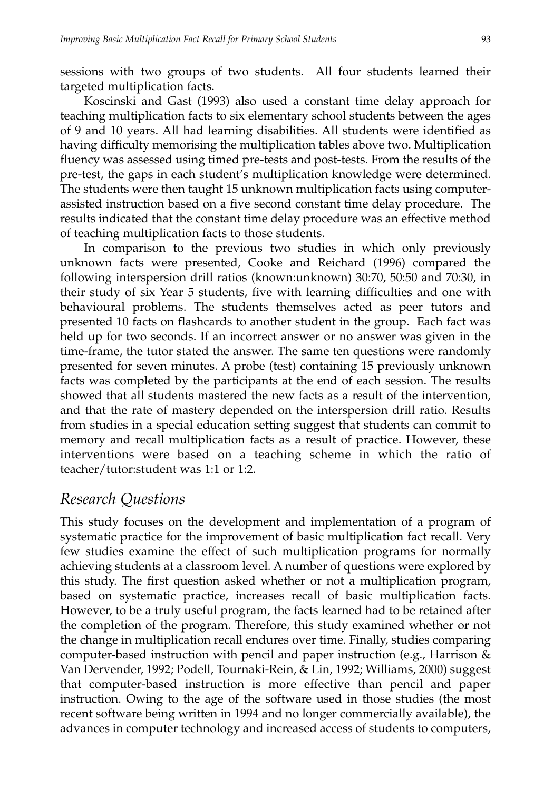sessions with two groups of two students. All four students learned their targeted multiplication facts.

Koscinski and Gast (1993) also used a constant time delay approach for teaching multiplication facts to six elementary school students between the ages of 9 and 10 years. All had learning disabilities. All students were identified as having difficulty memorising the multiplication tables above two. Multiplication fluency was assessed using timed pre-tests and post-tests. From the results of the pre-test, the gaps in each student's multiplication knowledge were determined. The students were then taught 15 unknown multiplication facts using computerassisted instruction based on a five second constant time delay procedure. The results indicated that the constant time delay procedure was an effective method of teaching multiplication facts to those students.

In comparison to the previous two studies in which only previously unknown facts were presented, Cooke and Reichard (1996) compared the following interspersion drill ratios (known:unknown) 30:70, 50:50 and 70:30, in their study of six Year 5 students, five with learning difficulties and one with behavioural problems. The students themselves acted as peer tutors and presented 10 facts on flashcards to another student in the group. Each fact was held up for two seconds. If an incorrect answer or no answer was given in the time-frame, the tutor stated the answer. The same ten questions were randomly presented for seven minutes. A probe (test) containing 15 previously unknown facts was completed by the participants at the end of each session. The results showed that all students mastered the new facts as a result of the intervention, and that the rate of mastery depended on the interspersion drill ratio. Results from studies in a special education setting suggest that students can commit to memory and recall multiplication facts as a result of practice. However, these interventions were based on a teaching scheme in which the ratio of teacher/tutor:student was 1:1 or 1:2.

## *Research Questions*

This study focuses on the development and implementation of a program of systematic practice for the improvement of basic multiplication fact recall. Very few studies examine the effect of such multiplication programs for normally achieving students at a classroom level. A number of questions were explored by this study. The first question asked whether or not a multiplication program, based on systematic practice, increases recall of basic multiplication facts. However, to be a truly useful program, the facts learned had to be retained after the completion of the program. Therefore, this study examined whether or not the change in multiplication recall endures over time. Finally, studies comparing computer-based instruction with pencil and paper instruction (e.g., Harrison & Van Dervender, 1992; Podell, Tournaki-Rein, & Lin, 1992; Williams, 2000) suggest that computer-based instruction is more effective than pencil and paper instruction. Owing to the age of the software used in those studies (the most recent software being written in 1994 and no longer commercially available), the advances in computer technology and increased access of students to computers,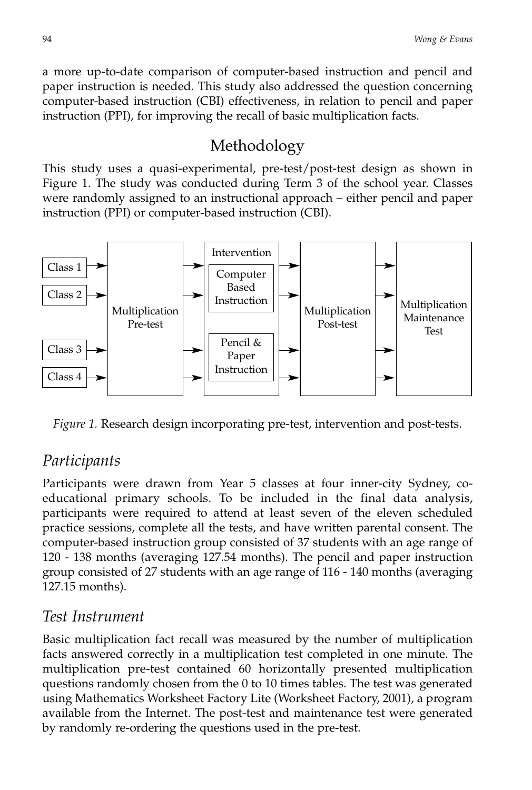a more up-to-date comparison of computer-based instruction and pencil and paper instruction is needed. This study also addressed the question concerning computer-based instruction (CBI) effectiveness, in relation to pencil and paper instruction (PPI), for improving the recall of basic multiplication facts.

# Methodology

This study uses a quasi-experimental, pre-test/post-test design as shown in Figure 1. The study was conducted during Term 3 of the school year. Classes were randomly assigned to an instructional approach – either pencil and paper instruction (PPI) or computer-based instruction (CBI).



*Figure 1.* Research design incorporating pre-test, intervention and post-tests.

## *Participants*

Participants were drawn from Year 5 classes at four inner-city Sydney, coeducational primary schools. To be included in the final data analysis, participants were required to attend at least seven of the eleven scheduled practice sessions, complete all the tests, and have written parental consent. The computer-based instruction group consisted of 37 students with an age range of 120 - 138 months (averaging 127.54 months). The pencil and paper instruction group consisted of 27 students with an age range of 116 - 140 months (averaging 127.15 months).

## *Test Instrument*

Basic multiplication fact recall was measured by the number of multiplication facts answered correctly in a multiplication test completed in one minute. The multiplication pre-test contained 60 horizontally presented multiplication questions randomly chosen from the 0 to 10 times tables. The test was generated using Mathematics Worksheet Factory Lite (Worksheet Factory, 2001), a program available from the Internet. The post-test and maintenance test were generated by randomly re-ordering the questions used in the pre-test.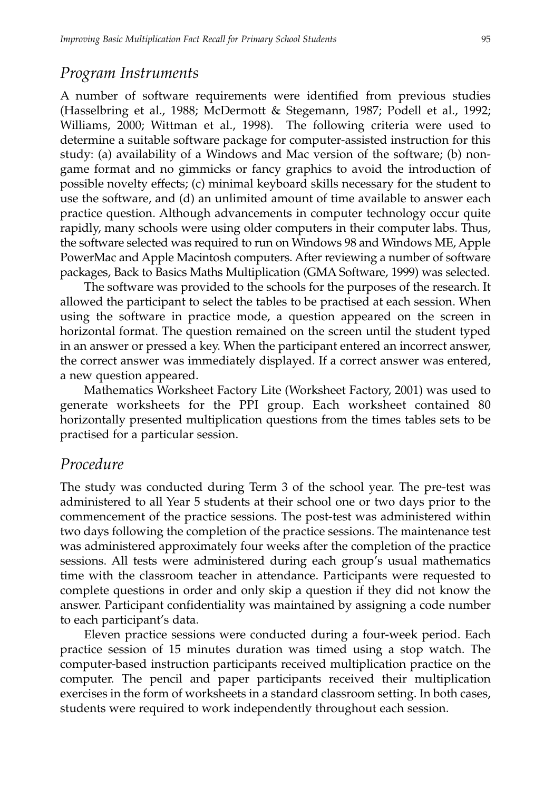#### *Program Instruments*

A number of software requirements were identified from previous studies (Hasselbring et al., 1988; McDermott & Stegemann, 1987; Podell et al., 1992; Williams, 2000; Wittman et al., 1998). The following criteria were used to determine a suitable software package for computer-assisted instruction for this study: (a) availability of a Windows and Mac version of the software; (b) nongame format and no gimmicks or fancy graphics to avoid the introduction of possible novelty effects; (c) minimal keyboard skills necessary for the student to use the software, and (d) an unlimited amount of time available to answer each practice question. Although advancements in computer technology occur quite rapidly, many schools were using older computers in their computer labs. Thus, the software selected was required to run on Windows 98 and Windows ME, Apple PowerMac and Apple Macintosh computers. After reviewing a number of software packages, Back to Basics Maths Multiplication (GMA Software, 1999) was selected.

The software was provided to the schools for the purposes of the research. It allowed the participant to select the tables to be practised at each session. When using the software in practice mode, a question appeared on the screen in horizontal format. The question remained on the screen until the student typed in an answer or pressed a key. When the participant entered an incorrect answer, the correct answer was immediately displayed. If a correct answer was entered, a new question appeared.

Mathematics Worksheet Factory Lite (Worksheet Factory, 2001) was used to generate worksheets for the PPI group. Each worksheet contained 80 horizontally presented multiplication questions from the times tables sets to be practised for a particular session.

#### *Procedure*

The study was conducted during Term 3 of the school year. The pre-test was administered to all Year 5 students at their school one or two days prior to the commencement of the practice sessions. The post-test was administered within two days following the completion of the practice sessions. The maintenance test was administered approximately four weeks after the completion of the practice sessions. All tests were administered during each group's usual mathematics time with the classroom teacher in attendance. Participants were requested to complete questions in order and only skip a question if they did not know the answer. Participant confidentiality was maintained by assigning a code number to each participant's data.

Eleven practice sessions were conducted during a four-week period. Each practice session of 15 minutes duration was timed using a stop watch. The computer-based instruction participants received multiplication practice on the computer. The pencil and paper participants received their multiplication exercises in the form of worksheets in a standard classroom setting. In both cases, students were required to work independently throughout each session.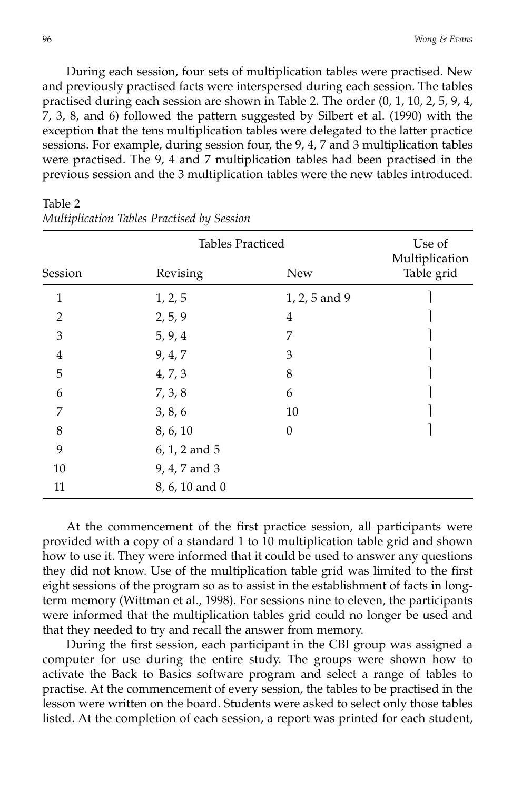During each session, four sets of multiplication tables were practised. New and previously practised facts were interspersed during each session. The tables practised during each session are shown in Table 2. The order (0, 1, 10, 2, 5, 9, 4, 7, 3, 8, and 6) followed the pattern suggested by Silbert et al. (1990) with the exception that the tens multiplication tables were delegated to the latter practice sessions. For example, during session four, the 9, 4, 7 and 3 multiplication tables were practised. The 9, 4 and 7 multiplication tables had been practised in the previous session and the 3 multiplication tables were the new tables introduced.

|                | Use of<br>Multiplication |               |            |
|----------------|--------------------------|---------------|------------|
| Session        | Revising                 | <b>New</b>    | Table grid |
| $\mathbf{1}$   | 1, 2, 5                  | 1, 2, 5 and 9 |            |
| $\overline{2}$ | 2, 5, 9                  | 4             |            |
| 3              | 5, 9, 4                  | 7             |            |
| 4              | 9, 4, 7                  | 3             |            |
| 5              | 4, 7, 3                  | 8             |            |
| 6              | 7, 3, 8                  | 6             |            |
| 7              | 3, 8, 6                  | 10            |            |
| 8              | 8, 6, 10                 | $\theta$      |            |
| 9              | 6, 1, 2 and 5            |               |            |
| 10             | 9, 4, 7 and 3            |               |            |
| 11             | 8, 6, 10 and 0           |               |            |

Table 2 *Multiplication Tables Practised by Session*

At the commencement of the first practice session, all participants were provided with a copy of a standard 1 to 10 multiplication table grid and shown how to use it. They were informed that it could be used to answer any questions they did not know. Use of the multiplication table grid was limited to the first eight sessions of the program so as to assist in the establishment of facts in longterm memory (Wittman et al., 1998). For sessions nine to eleven, the participants were informed that the multiplication tables grid could no longer be used and that they needed to try and recall the answer from memory.

During the first session, each participant in the CBI group was assigned a computer for use during the entire study. The groups were shown how to activate the Back to Basics software program and select a range of tables to practise. At the commencement of every session, the tables to be practised in the lesson were written on the board. Students were asked to select only those tables listed. At the completion of each session, a report was printed for each student,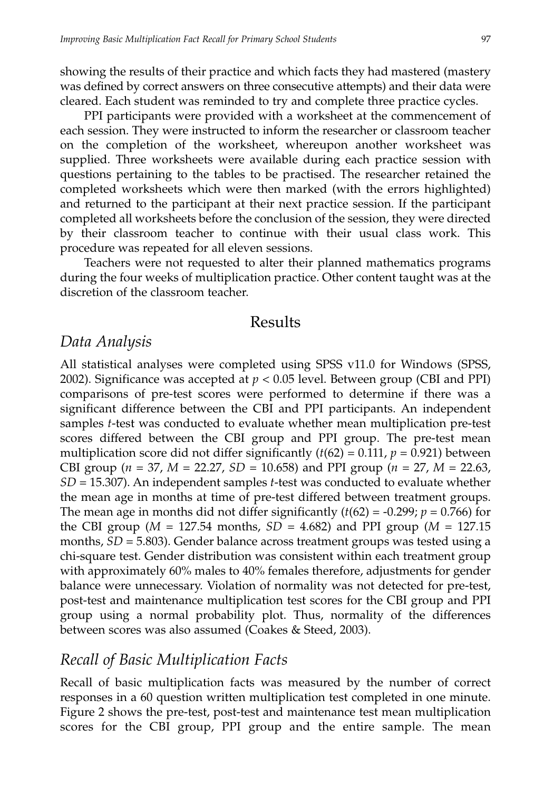showing the results of their practice and which facts they had mastered (mastery was defined by correct answers on three consecutive attempts) and their data were cleared. Each student was reminded to try and complete three practice cycles.

PPI participants were provided with a worksheet at the commencement of each session. They were instructed to inform the researcher or classroom teacher on the completion of the worksheet, whereupon another worksheet was supplied. Three worksheets were available during each practice session with questions pertaining to the tables to be practised. The researcher retained the completed worksheets which were then marked (with the errors highlighted) and returned to the participant at their next practice session. If the participant completed all worksheets before the conclusion of the session, they were directed by their classroom teacher to continue with their usual class work. This procedure was repeated for all eleven sessions.

Teachers were not requested to alter their planned mathematics programs during the four weeks of multiplication practice. Other content taught was at the discretion of the classroom teacher.

#### Results

#### *Data Analysis*

All statistical analyses were completed using SPSS v11.0 for Windows (SPSS, 2002). Significance was accepted at  $p < 0.05$  level. Between group (CBI and PPI) comparisons of pre-test scores were performed to determine if there was a significant difference between the CBI and PPI participants. An independent samples *t*-test was conducted to evaluate whether mean multiplication pre-test scores differed between the CBI group and PPI group. The pre-test mean multiplication score did not differ significantly  $(t(62) = 0.111, p = 0.921)$  between CBI group (*n* = 37, *M* = 22.27, *SD* = 10.658) and PPI group (*n* = 27, *M* = 22.63, *SD* = 15.307). An independent samples *t*-test was conducted to evaluate whether the mean age in months at time of pre-test differed between treatment groups. The mean age in months did not differ significantly  $(t(62) = -0.299; p = 0.766)$  for the CBI group ( $M = 127.54$  months,  $SD = 4.682$ ) and PPI group ( $M = 127.15$ months, *SD* = 5.803). Gender balance across treatment groups was tested using a chi-square test. Gender distribution was consistent within each treatment group with approximately 60% males to 40% females therefore, adjustments for gender balance were unnecessary. Violation of normality was not detected for pre-test, post-test and maintenance multiplication test scores for the CBI group and PPI group using a normal probability plot. Thus, normality of the differences between scores was also assumed (Coakes & Steed, 2003).

## *Recall of Basic Multiplication Facts*

Recall of basic multiplication facts was measured by the number of correct responses in a 60 question written multiplication test completed in one minute. Figure 2 shows the pre-test, post-test and maintenance test mean multiplication scores for the CBI group, PPI group and the entire sample. The mean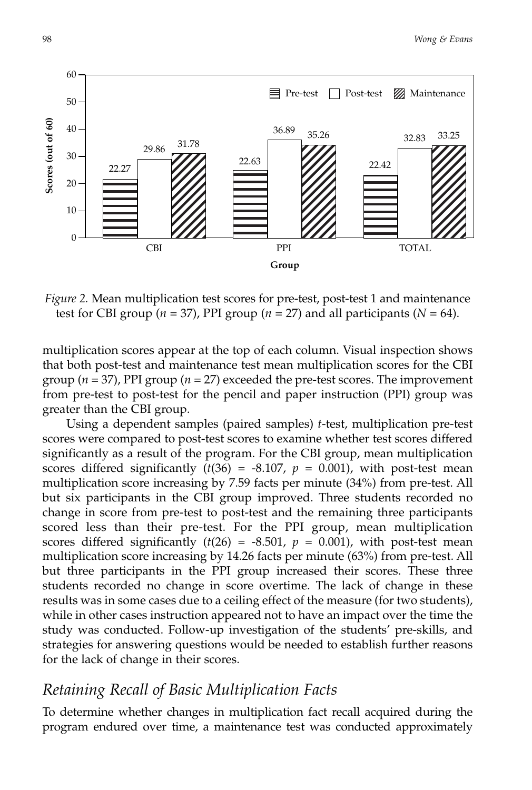

*Figure 2.* Mean multiplication test scores for pre-test, post-test 1 and maintenance test for CBI group ( $n = 37$ ), PPI group ( $n = 27$ ) and all participants ( $N = 64$ ).

multiplication scores appear at the top of each column. Visual inspection shows that both post-test and maintenance test mean multiplication scores for the CBI group (*n* = 37), PPI group (*n* = 27) exceeded the pre-test scores. The improvement from pre-test to post-test for the pencil and paper instruction (PPI) group was greater than the CBI group.

Using a dependent samples (paired samples) *t*-test, multiplication pre-test scores were compared to post-test scores to examine whether test scores differed significantly as a result of the program. For the CBI group, mean multiplication scores differed significantly  $(t(36) = -8.107, p = 0.001)$ , with post-test mean multiplication score increasing by 7.59 facts per minute (34%) from pre-test. All but six participants in the CBI group improved. Three students recorded no change in score from pre-test to post-test and the remaining three participants scored less than their pre-test. For the PPI group, mean multiplication scores differed significantly  $(t(26) = -8.501, p = 0.001)$ , with post-test mean multiplication score increasing by 14.26 facts per minute (63%) from pre-test. All but three participants in the PPI group increased their scores. These three students recorded no change in score overtime. The lack of change in these results was in some cases due to a ceiling effect of the measure (for two students), while in other cases instruction appeared not to have an impact over the time the study was conducted. Follow-up investigation of the students' pre-skills, and strategies for answering questions would be needed to establish further reasons for the lack of change in their scores.

### *Retaining Recall of Basic Multiplication Facts*

To determine whether changes in multiplication fact recall acquired during the program endured over time, a maintenance test was conducted approximately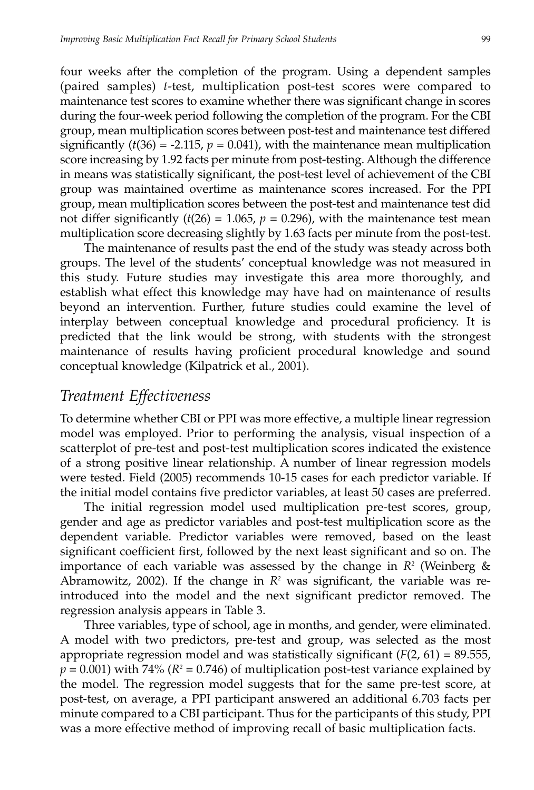four weeks after the completion of the program. Using a dependent samples (paired samples) *t*-test, multiplication post-test scores were compared to maintenance test scores to examine whether there was significant change in scores during the four-week period following the completion of the program. For the CBI group, mean multiplication scores between post-test and maintenance test differed significantly  $(t(36) = -2.115, p = 0.041)$ , with the maintenance mean multiplication score increasing by 1.92 facts per minute from post-testing. Although the difference in means was statistically significant, the post-test level of achievement of the CBI group was maintained overtime as maintenance scores increased. For the PPI group, mean multiplication scores between the post-test and maintenance test did not differ significantly  $(t(26) = 1.065, p = 0.296)$ , with the maintenance test mean multiplication score decreasing slightly by 1.63 facts per minute from the post-test.

The maintenance of results past the end of the study was steady across both groups. The level of the students' conceptual knowledge was not measured in this study. Future studies may investigate this area more thoroughly, and establish what effect this knowledge may have had on maintenance of results beyond an intervention. Further, future studies could examine the level of interplay between conceptual knowledge and procedural proficiency. It is predicted that the link would be strong, with students with the strongest maintenance of results having proficient procedural knowledge and sound conceptual knowledge (Kilpatrick et al., 2001).

## *Treatment Effectiveness*

To determine whether CBI or PPI was more effective, a multiple linear regression model was employed. Prior to performing the analysis, visual inspection of a scatterplot of pre-test and post-test multiplication scores indicated the existence of a strong positive linear relationship. A number of linear regression models were tested. Field (2005) recommends 10-15 cases for each predictor variable. If the initial model contains five predictor variables, at least 50 cases are preferred.

The initial regression model used multiplication pre-test scores, group, gender and age as predictor variables and post-test multiplication score as the dependent variable. Predictor variables were removed, based on the least significant coefficient first, followed by the next least significant and so on. The importance of each variable was assessed by the change in  $R^2$  (Weinberg & Abramowitz, 2002). If the change in  $R^2$  was significant, the variable was reintroduced into the model and the next significant predictor removed. The regression analysis appears in Table 3.

Three variables, type of school, age in months, and gender, were eliminated. A model with two predictors, pre-test and group, was selected as the most appropriate regression model and was statistically significant  $(F(2, 61) = 89.555$ ,  $p = 0.001$ ) with 74% ( $R^2 = 0.746$ ) of multiplication post-test variance explained by the model. The regression model suggests that for the same pre-test score, at post-test, on average, a PPI participant answered an additional 6.703 facts per minute compared to a CBI participant. Thus for the participants of this study, PPI was a more effective method of improving recall of basic multiplication facts.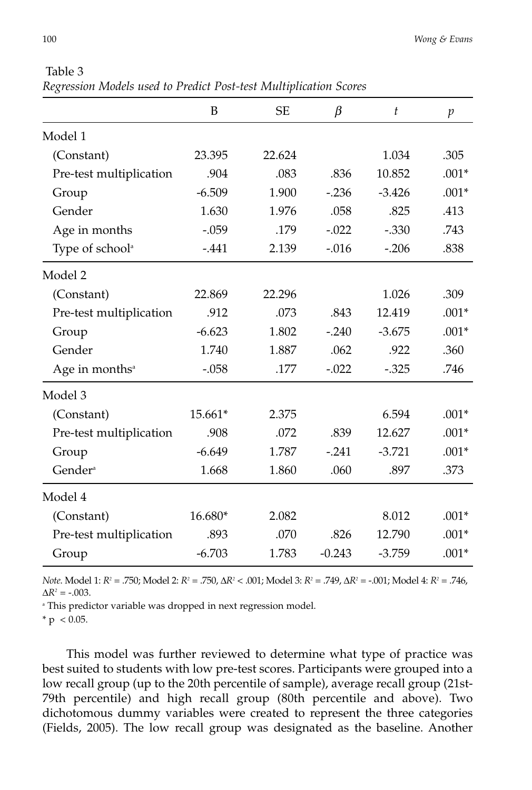|                             | B        | <b>SE</b> | $\beta$  | $\boldsymbol{t}$ | $\mathfrak{p}$ |
|-----------------------------|----------|-----------|----------|------------------|----------------|
| Model 1                     |          |           |          |                  |                |
| (Constant)                  | 23.395   | 22.624    |          | 1.034            | .305           |
| Pre-test multiplication     | .904     | .083      | .836     | 10.852           | $.001*$        |
| Group                       | $-6.509$ | 1.900     | $-236$   | $-3.426$         | $.001*$        |
| Gender                      | 1.630    | 1.976     | .058     | .825             | .413           |
| Age in months               | $-.059$  | .179      | $-.022$  | $-.330$          | .743           |
| Type of school <sup>a</sup> | $-.441$  | 2.139     | $-0.016$ | $-.206$          | .838           |
| Model 2                     |          |           |          |                  |                |
| (Constant)                  | 22.869   | 22.296    |          | 1.026            | .309           |
| Pre-test multiplication     | .912     | .073      | .843     | 12.419           | $.001*$        |
| Group                       | $-6.623$ | 1.802     | $-.240$  | $-3.675$         | $.001*$        |
| Gender                      | 1.740    | 1.887     | .062     | .922             | .360           |
| Age in months <sup>a</sup>  | $-.058$  | .177      | $-.022$  | $-.325$          | .746           |
| Model 3                     |          |           |          |                  |                |
| (Constant)                  | 15.661*  | 2.375     |          | 6.594            | $.001*$        |
| Pre-test multiplication     | .908     | .072      | .839     | 12.627           | $.001*$        |
| Group                       | $-6.649$ | 1.787     | $-.241$  | $-3.721$         | $.001*$        |
| Gender <sup>a</sup>         | 1.668    | 1.860     | .060     | .897             | .373           |
| Model 4                     |          |           |          |                  |                |
| (Constant)                  | 16.680*  | 2.082     |          | 8.012            | $.001*$        |
| Pre-test multiplication     | .893     | .070      | .826     | 12.790           | $.001*$        |
| Group                       | $-6.703$ | 1.783     | $-0.243$ | $-3.759$         | $.001*$        |
|                             |          |           |          |                  |                |

Table 3 *Regression Models used to Predict Post-test Multiplication Scores*

*Note*. Model 1: *R2* = .750; Model 2: *R2* = .750, ∆*R2* < .001; Model 3: *R2* = .749, ∆*R2* = -.001; Model 4: *R2* = .746,  $\Delta R^2 = -.003$ .

<sup>a</sup> This predictor variable was dropped in next regression model.

 $* p < 0.05.$ 

This model was further reviewed to determine what type of practice was best suited to students with low pre-test scores. Participants were grouped into a low recall group (up to the 20th percentile of sample), average recall group (21st-79th percentile) and high recall group (80th percentile and above). Two dichotomous dummy variables were created to represent the three categories (Fields, 2005). The low recall group was designated as the baseline. Another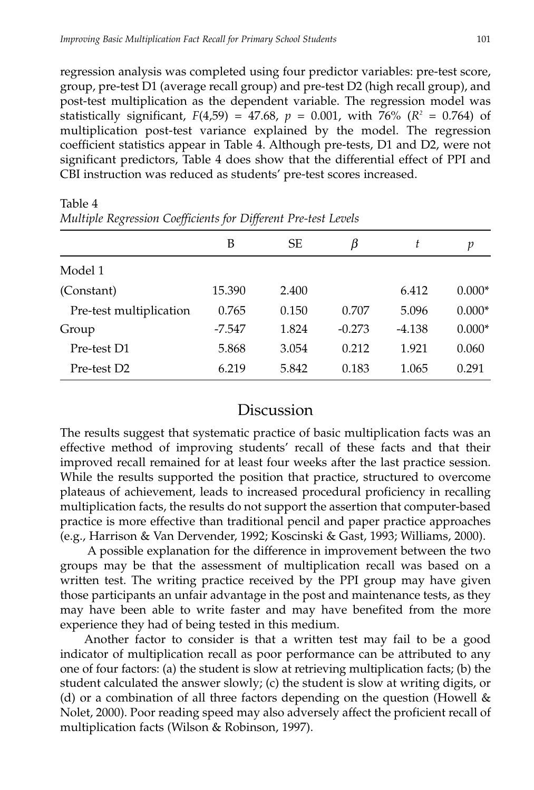regression analysis was completed using four predictor variables: pre-test score, group, pre-test D1 (average recall group) and pre-test D2 (high recall group), and post-test multiplication as the dependent variable. The regression model was statistically significant,  $F(4,59) = 47.68$ ,  $p = 0.001$ , with 76% ( $R^2 = 0.764$ ) of multiplication post-test variance explained by the model. The regression coefficient statistics appear in Table 4. Although pre-tests, D1 and D2, were not significant predictors, Table 4 does show that the differential effect of PPI and CBI instruction was reduced as students' pre-test scores increased.

| р        |
|----------|
|          |
| $0.000*$ |
| $0.000*$ |
| $0.000*$ |
| 0.060    |
| 0.291    |
|          |

Table 4 *Multiple Regression Coefficients for Different Pre-test Levels*

#### Discussion

The results suggest that systematic practice of basic multiplication facts was an effective method of improving students' recall of these facts and that their improved recall remained for at least four weeks after the last practice session. While the results supported the position that practice, structured to overcome plateaus of achievement, leads to increased procedural proficiency in recalling multiplication facts, the results do not support the assertion that computer-based practice is more effective than traditional pencil and paper practice approaches (e.g., Harrison & Van Dervender, 1992; Koscinski & Gast, 1993; Williams, 2000).

A possible explanation for the difference in improvement between the two groups may be that the assessment of multiplication recall was based on a written test. The writing practice received by the PPI group may have given those participants an unfair advantage in the post and maintenance tests, as they may have been able to write faster and may have benefited from the more experience they had of being tested in this medium.

Another factor to consider is that a written test may fail to be a good indicator of multiplication recall as poor performance can be attributed to any one of four factors: (a) the student is slow at retrieving multiplication facts; (b) the student calculated the answer slowly; (c) the student is slow at writing digits, or (d) or a combination of all three factors depending on the question (Howell & Nolet, 2000). Poor reading speed may also adversely affect the proficient recall of multiplication facts (Wilson & Robinson, 1997).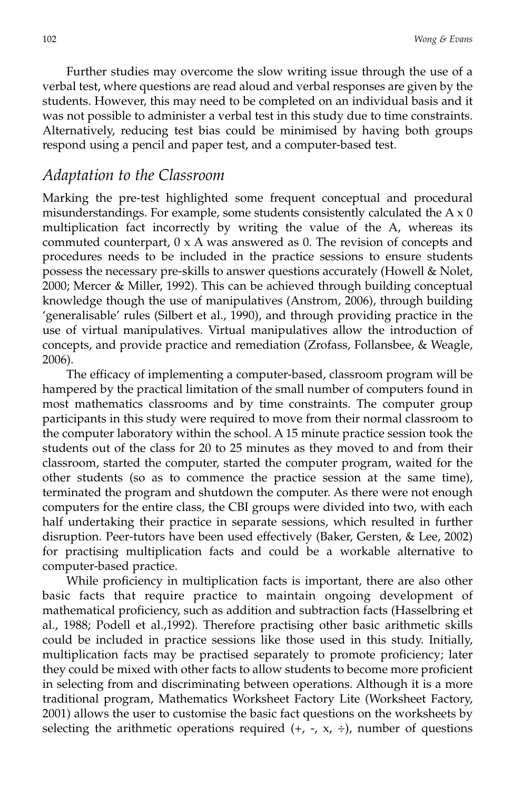Further studies may overcome the slow writing issue through the use of a verbal test, where questions are read aloud and verbal responses are given by the students. However, this may need to be completed on an individual basis and it was not possible to administer a verbal test in this study due to time constraints. Alternatively, reducing test bias could be minimised by having both groups respond using a pencil and paper test, and a computer-based test.

#### *Adaptation to the Classroom*

Marking the pre-test highlighted some frequent conceptual and procedural misunderstandings. For example, some students consistently calculated the  $A \times 0$ multiplication fact incorrectly by writing the value of the A, whereas its commuted counterpart,  $0 \times A$  was answered as 0. The revision of concepts and procedures needs to be included in the practice sessions to ensure students possess the necessary pre-skills to answer questions accurately (Howell & Nolet, 2000; Mercer & Miller, 1992). This can be achieved through building conceptual knowledge though the use of manipulatives (Anstrom, 2006), through building 'generalisable' rules (Silbert et al., 1990), and through providing practice in the use of virtual manipulatives. Virtual manipulatives allow the introduction of concepts, and provide practice and remediation (Zrofass, Follansbee, & Weagle, 2006).

The efficacy of implementing a computer-based, classroom program will be hampered by the practical limitation of the small number of computers found in most mathematics classrooms and by time constraints. The computer group participants in this study were required to move from their normal classroom to the computer laboratory within the school. A 15 minute practice session took the students out of the class for 20 to 25 minutes as they moved to and from their classroom, started the computer, started the computer program, waited for the other students (so as to commence the practice session at the same time), terminated the program and shutdown the computer. As there were not enough computers for the entire class, the CBI groups were divided into two, with each half undertaking their practice in separate sessions, which resulted in further disruption. Peer-tutors have been used effectively (Baker, Gersten, & Lee, 2002) for practising multiplication facts and could be a workable alternative to computer-based practice.

While proficiency in multiplication facts is important, there are also other basic facts that require practice to maintain ongoing development of mathematical proficiency, such as addition and subtraction facts (Hasselbring et al., 1988; Podell et al.,1992). Therefore practising other basic arithmetic skills could be included in practice sessions like those used in this study. Initially, multiplication facts may be practised separately to promote proficiency; later they could be mixed with other facts to allow students to become more proficient in selecting from and discriminating between operations. Although it is a more traditional program, Mathematics Worksheet Factory Lite (Worksheet Factory, 2001) allows the user to customise the basic fact questions on the worksheets by selecting the arithmetic operations required  $(+, -, x, \div)$ , number of questions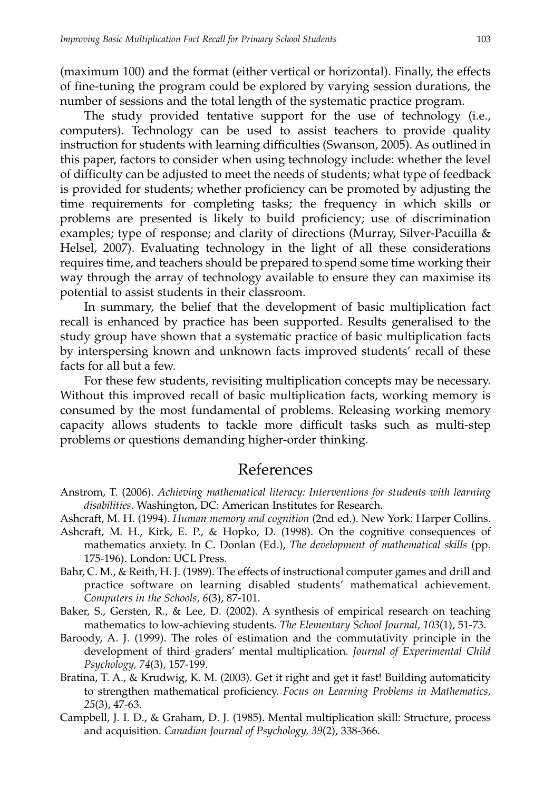(maximum 100) and the format (either vertical or horizontal). Finally, the effects of fine-tuning the program could be explored by varying session durations, the number of sessions and the total length of the systematic practice program.

The study provided tentative support for the use of technology (i.e., computers). Technology can be used to assist teachers to provide quality instruction for students with learning difficulties (Swanson, 2005). As outlined in this paper, factors to consider when using technology include: whether the level of difficulty can be adjusted to meet the needs of students; what type of feedback is provided for students; whether proficiency can be promoted by adjusting the time requirements for completing tasks; the frequency in which skills or problems are presented is likely to build proficiency; use of discrimination examples; type of response; and clarity of directions (Murray, Silver-Pacuilla & Helsel, 2007). Evaluating technology in the light of all these considerations requires time, and teachers should be prepared to spend some time working their way through the array of technology available to ensure they can maximise its potential to assist students in their classroom.

In summary, the belief that the development of basic multiplication fact recall is enhanced by practice has been supported. Results generalised to the study group have shown that a systematic practice of basic multiplication facts by interspersing known and unknown facts improved students' recall of these facts for all but a few.

For these few students, revisiting multiplication concepts may be necessary. Without this improved recall of basic multiplication facts, working memory is consumed by the most fundamental of problems. Releasing working memory capacity allows students to tackle more difficult tasks such as multi-step problems or questions demanding higher-order thinking.

# References

- Anstrom, T. (2006). *Achieving mathematical literacy: Interventions for students with learning disabilities*. Washington, DC: American Institutes for Research.
- Ashcraft, M. H. (1994). *Human memory and cognition* (2nd ed.). New York: Harper Collins.
- Ashcraft, M. H., Kirk, E. P., & Hopko, D. (1998). On the cognitive consequences of mathematics anxiety. In C. Donlan (Ed.), *The development of mathematical skills* (pp. 175-196). London: UCL Press.
- Bahr, C. M., & Reith, H. J. (1989). The effects of instructional computer games and drill and practice software on learning disabled students' mathematical achievement. *Computers in the Schools, 6*(3), 87-101.
- Baker, S., Gersten, R., & Lee, D. (2002). A synthesis of empirical research on teaching mathematics to low-achieving students. *The Elementary School Journal, 103*(1), 51-73.
- Baroody, A. J. (1999). The roles of estimation and the commutativity principle in the development of third graders' mental multiplication. *Journal of Experimental Child Psychology, 74*(3), 157-199.
- Bratina, T. A., & Krudwig, K. M. (2003). Get it right and get it fast! Building automaticity to strengthen mathematical proficiency. *Focus on Learning Problems in Mathematics, 25*(3), 47-63.
- Campbell, J. I. D., & Graham, D. J. (1985). Mental multiplication skill: Structure, process and acquisition. *Canadian Journal of Psychology, 39*(2), 338-366.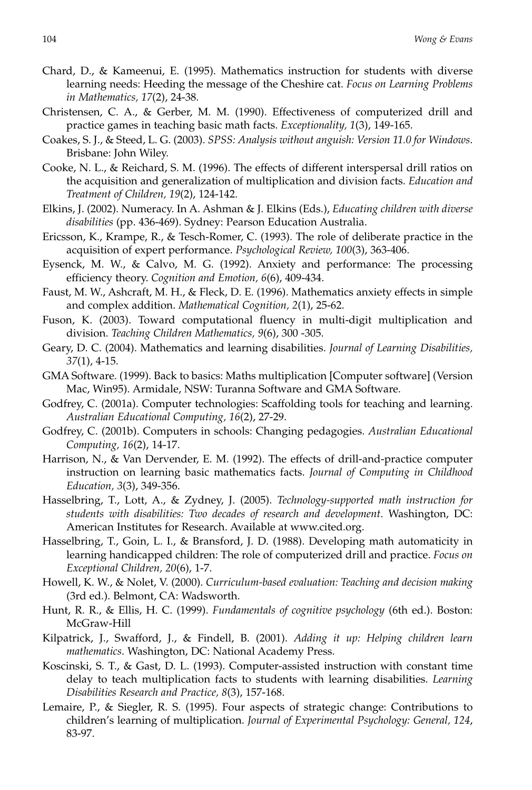- Chard, D., & Kameenui, E. (1995). Mathematics instruction for students with diverse learning needs: Heeding the message of the Cheshire cat. *Focus on Learning Problems in Mathematics, 17*(2), 24-38.
- Christensen, C. A., & Gerber, M. M. (1990). Effectiveness of computerized drill and practice games in teaching basic math facts. *Exceptionality, 1*(3), 149-165.
- Coakes, S. J., & Steed, L. G. (2003). *SPSS: Analysis without anguish: Version 11.0 for Windows*. Brisbane: John Wiley.
- Cooke, N. L., & Reichard, S. M. (1996). The effects of different interspersal drill ratios on the acquisition and generalization of multiplication and division facts. *Education and Treatment of Children, 19*(2), 124-142.
- Elkins, J. (2002). Numeracy. In A. Ashman & J. Elkins (Eds.), *Educating children with diverse disabilities* (pp. 436-469). Sydney: Pearson Education Australia.
- Ericsson, K., Krampe, R., & Tesch-Romer, C. (1993). The role of deliberate practice in the acquisition of expert performance. *Psychological Review, 100*(3), 363-406.
- Eysenck, M. W., & Calvo, M. G. (1992). Anxiety and performance: The processing efficiency theory. *Cognition and Emotion, 6*(6), 409-434.
- Faust, M. W., Ashcraft, M. H., & Fleck, D. E. (1996). Mathematics anxiety effects in simple and complex addition. *Mathematical Cognition, 2*(1), 25-62.
- Fuson, K. (2003). Toward computational fluency in multi-digit multiplication and division. *Teaching Children Mathematics, 9*(6), 300 -305.
- Geary, D. C. (2004). Mathematics and learning disabilities. *Journal of Learning Disabilities, 37*(1), 4-15.
- GMA Software. (1999). Back to basics: Maths multiplication [Computer software] (Version Mac, Win95). Armidale, NSW: Turanna Software and GMA Software.
- Godfrey, C. (2001a). Computer technologies: Scaffolding tools for teaching and learning. *Australian Educational Computing, 16*(2), 27-29.
- Godfrey, C. (2001b). Computers in schools: Changing pedagogies. *Australian Educational Computing, 16*(2), 14-17.
- Harrison, N., & Van Dervender, E. M. (1992). The effects of drill-and-practice computer instruction on learning basic mathematics facts. *Journal of Computing in Childhood Education, 3*(3), 349-356.
- Hasselbring, T., Lott, A., & Zydney, J. (2005). *Technology-supported math instruction for students with disabilities: Two decades of research and development*. Washington, DC: American Institutes for Research. Available at www.cited.org.
- Hasselbring, T., Goin, L. I., & Bransford, J. D. (1988). Developing math automaticity in learning handicapped children: The role of computerized drill and practice. *Focus on Exceptional Children, 20*(6), 1-7.
- Howell, K. W., & Nolet, V. (2000). *Curriculum-based evaluation: Teaching and decision making* (3rd ed.). Belmont, CA: Wadsworth.
- Hunt, R. R., & Ellis, H. C. (1999). *Fundamentals of cognitive psychology* (6th ed.). Boston: McGraw-Hill
- Kilpatrick, J., Swafford, J., & Findell, B. (2001). *Adding it up: Helping children learn mathematics*. Washington, DC: National Academy Press.
- Koscinski, S. T., & Gast, D. L. (1993). Computer-assisted instruction with constant time delay to teach multiplication facts to students with learning disabilities. *Learning Disabilities Research and Practice, 8*(3), 157-168.
- Lemaire, P., & Siegler, R. S. (1995). Four aspects of strategic change: Contributions to children's learning of multiplication. *Journal of Experimental Psychology: General, 124*, 83-97.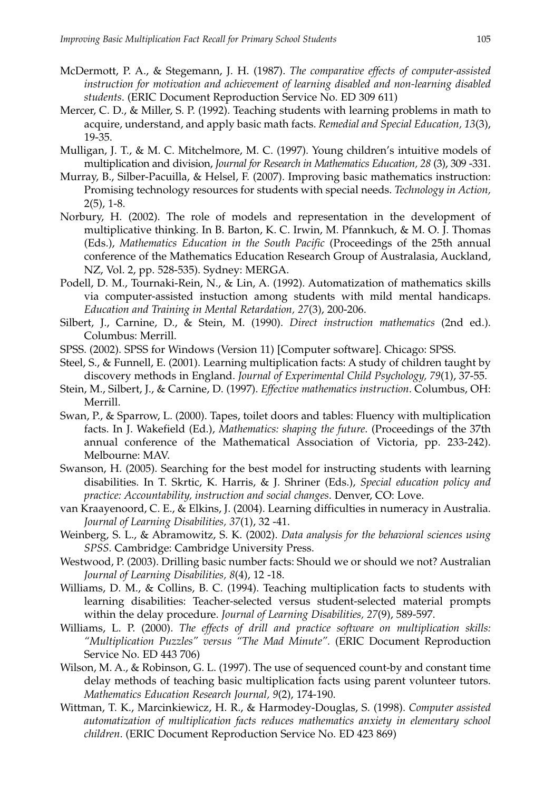- McDermott, P. A., & Stegemann, J. H. (1987). *The comparative effects of computer-assisted instruction for motivation and achievement of learning disabled and non-learning disabled students*. (ERIC Document Reproduction Service No. ED 309 611)
- Mercer, C. D., & Miller, S. P. (1992). Teaching students with learning problems in math to acquire, understand, and apply basic math facts. *Remedial and Special Education, 13*(3), 19-35.
- Mulligan, J. T., & M. C. Mitchelmore, M. C. (1997). Young children's intuitive models of multiplication and division, *Journal for Research in Mathematics Education, 28* (3), 309 -331.
- Murray, B., Silber-Pacuilla, & Helsel, F. (2007). Improving basic mathematics instruction: Promising technology resources for students with special needs. *Technology in Action,* 2(5), 1-8.
- Norbury, H. (2002). The role of models and representation in the development of multiplicative thinking. In B. Barton, K. C. Irwin, M. Pfannkuch, & M. O. J. Thomas (Eds.), *Mathematics Education in the South Pacific* (Proceedings of the 25th annual conference of the Mathematics Education Research Group of Australasia, Auckland, NZ, Vol. 2, pp. 528-535). Sydney: MERGA.
- Podell, D. M., Tournaki-Rein, N., & Lin, A. (1992). Automatization of mathematics skills via computer-assisted instuction among students with mild mental handicaps. *Education and Training in Mental Retardation, 27*(3), 200-206.
- Silbert, J., Carnine, D., & Stein, M. (1990). *Direct instruction mathematics* (2nd ed.). Columbus: Merrill.
- SPSS. (2002). SPSS for Windows (Version 11) [Computer software]. Chicago: SPSS.
- Steel, S., & Funnell, E. (2001). Learning multiplication facts: A study of children taught by discovery methods in England. *Journal of Experimental Child Psychology, 79*(1), 37-55.
- Stein, M., Silbert, J., & Carnine, D. (1997). *Effective mathematics instruction*. Columbus, OH: Merrill.
- Swan, P., & Sparrow, L. (2000). Tapes, toilet doors and tables: Fluency with multiplication facts. In J. Wakefield (Ed.), *Mathematics: shaping the future*. (Proceedings of the 37th annual conference of the Mathematical Association of Victoria, pp. 233-242). Melbourne: MAV.
- Swanson, H. (2005). Searching for the best model for instructing students with learning disabilities. In T. Skrtic, K. Harris, & J. Shriner (Eds.), *Special education policy and practice: Accountability, instruction and social changes*. Denver, CO: Love.
- van Kraayenoord, C. E., & Elkins, J. (2004). Learning difficulties in numeracy in Australia. *Journal of Learning Disabilities, 37*(1), 32 -41.
- Weinberg, S. L., & Abramowitz, S. K. (2002). *Data analysis for the behavioral sciences using SPSS.* Cambridge: Cambridge University Press.
- Westwood, P. (2003). Drilling basic number facts: Should we or should we not? Australian *Journal of Learning Disabilities, 8*(4), 12 -18.
- Williams, D. M., & Collins, B. C. (1994). Teaching multiplication facts to students with learning disabilities: Teacher-selected versus student-selected material prompts within the delay procedure. *Journal of Learning Disabilities, 27*(9), 589-597.
- Williams, L. P. (2000). *The effects of drill and practice software on multiplication skills: "Multiplication Puzzles" versus "The Mad Minute".* (ERIC Document Reproduction Service No. ED 443 706)
- Wilson, M. A., & Robinson, G. L. (1997). The use of sequenced count-by and constant time delay methods of teaching basic multiplication facts using parent volunteer tutors. *Mathematics Education Research Journal, 9*(2), 174-190.
- Wittman, T. K., Marcinkiewicz, H. R., & Harmodey-Douglas, S. (1998). *Computer assisted automatization of multiplication facts reduces mathematics anxiety in elementary school children*. (ERIC Document Reproduction Service No. ED 423 869)